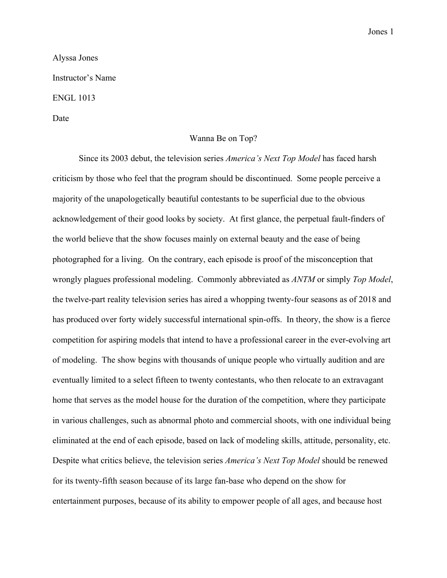## Jones 1

## Alyssa Jones

Instructor's Name

## ENGL 1013

Date

## Wanna Be on Top?

Since its 2003 debut, the television series *America's Next Top Model* has faced harsh criticism by those who feel that the program should be discontinued. Some people perceive a majority of the unapologetically beautiful contestants to be superficial due to the obvious acknowledgement of their good looks by society. At first glance, the perpetual fault-finders of the world believe that the show focuses mainly on external beauty and the ease of being photographed for a living. On the contrary, each episode is proof of the misconception that wrongly plagues professional modeling. Commonly abbreviated as *ANTM* or simply *Top Model*, the twelve-part reality television series has aired a whopping twenty-four seasons as of 2018 and has produced over forty widely successful international spin-offs. In theory, the show is a fierce competition for aspiring models that intend to have a professional career in the ever-evolving art of modeling. The show begins with thousands of unique people who virtually audition and are eventually limited to a select fifteen to twenty contestants, who then relocate to an extravagant home that serves as the model house for the duration of the competition, where they participate in various challenges, such as abnormal photo and commercial shoots, with one individual being eliminated at the end of each episode, based on lack of modeling skills, attitude, personality, etc. Despite what critics believe, the television series *America's Next Top Model* should be renewed for its twenty-fifth season because of its large fan-base who depend on the show for entertainment purposes, because of its ability to empower people of all ages, and because host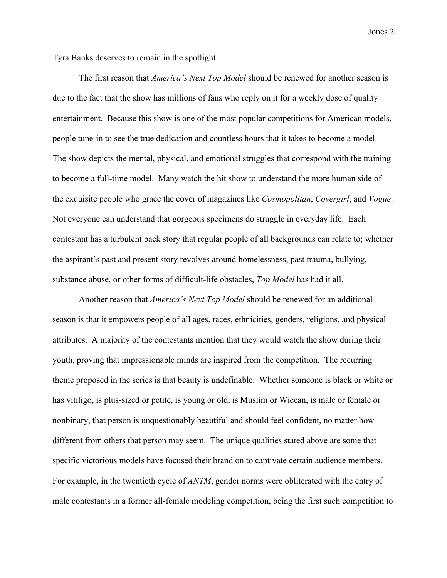Jones 2

Tyra Banks deserves to remain in the spotlight.

The first reason that *America's Next Top Model* should be renewed for another season is due to the fact that the show has millions of fans who reply on it for a weekly dose of quality entertainment. Because this show is one of the most popular competitions for American models, people tune-in to see the true dedication and countless hours that it takes to become a model. The show depicts the mental, physical, and emotional struggles that correspond with the training to become a full-time model. Many watch the hit show to understand the more human side of the exquisite people who grace the cover of magazines like *Cosmopolitan*, *Covergirl*, and *Vogue*. Not everyone can understand that gorgeous specimens do struggle in everyday life. Each contestant has a turbulent back story that regular people of all backgrounds can relate to; whether the aspirant's past and present story revolves around homelessness, past trauma, bullying, substance abuse, or other forms of difficult-life obstacles, *Top Model* has had it all.

Another reason that *America's Next Top Model* should be renewed for an additional season is that it empowers people of all ages, races, ethnicities, genders, religions, and physical attributes. A majority of the contestants mention that they would watch the show during their youth, proving that impressionable minds are inspired from the competition. The recurring theme proposed in the series is that beauty is undefinable. Whether someone is black or white or has vitiligo, is plus-sized or petite, is young or old, is Muslim or Wiccan, is male or female or nonbinary, that person is unquestionably beautiful and should feel confident, no matter how different from others that person may seem. The unique qualities stated above are some that specific victorious models have focused their brand on to captivate certain audience members. For example, in the twentieth cycle of *ANTM*, gender norms were obliterated with the entry of male contestants in a former all-female modeling competition, being the first such competition to